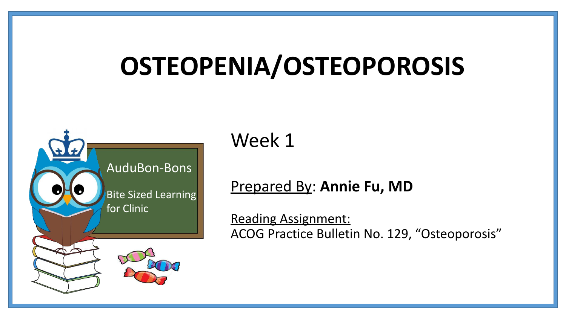# **OSTEOPENIA/OSTEOPOROSIS**



Week 1

#### Prepared By: **Annie Fu, MD**

Reading Assignment: ACOG Practice Bulletin No. 129, "Osteoporosis"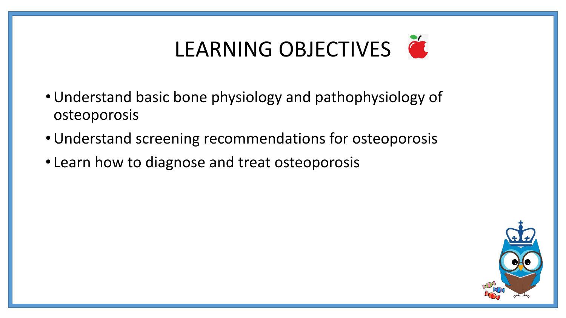# LEARNING OBJECTIVES

- •Understand basic bone physiology and pathophysiology of osteoporosis
- •Understand screening recommendations for osteoporosis
- Learn how to diagnose and treat osteoporosis

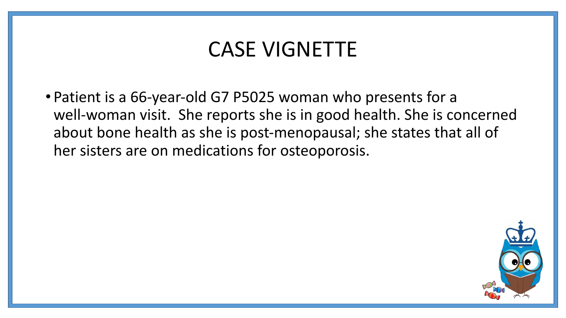### CASE VIGNETTE

• Patient is a 66-year-old G7 P5025 woman who presents for a well-woman visit. She reports she is in good health. She is concerned about bone health as she is post-menopausal; she states that all of her sisters are on medications for osteoporosis.

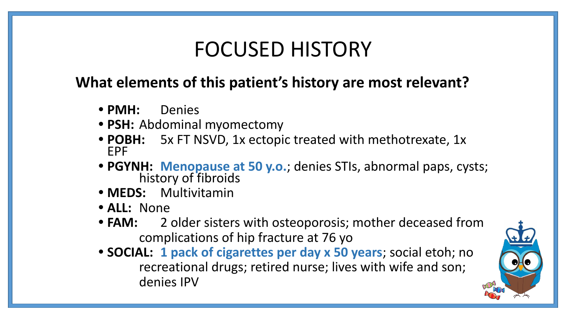### FOCUSED HISTORY

#### **What elements of this patient's history are most relevant?**

- **• PMH:** Denies
- **• PSH:** Abdominal myomectomy
- **• POBH:** 5x FT NSVD, 1x ectopic treated with methotrexate, 1x EPF
- **• PGYNH: Menopause at 50 y.o.**; denies STIs, abnormal paps, cysts; history of fibroids
- **• MEDS:** Multivitamin
- **• ALL:** None
- **• FAM:** 2 older sisters with osteoporosis; mother deceased from complications of hip fracture at 76 yo
- **• SOCIAL: 1 pack of cigarettes per day x 50 years**; social etoh; no recreational drugs; retired nurse; lives with wife and son; denies IPV

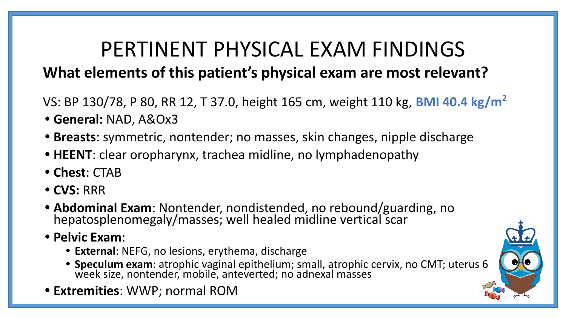### PERTINENT PHYSICAL EXAM FINDINGS **What elements of this patient's physical exam are most relevant?**

VS: BP 130/78, P 80, RR 12, T 37.0, height 165 cm, weight 110 kg, **BMI 40.4 kg/m<sup>2</sup>**

- **• General:** NAD, A&Ox3
- **• Breasts**: symmetric, nontender; no masses, skin changes, nipple discharge
- **• HEENT**: clear oropharynx, trachea midline, no lymphadenopathy
- **• Chest**: CTAB
- **• CVS:** RRR
- **• Abdominal Exam**: Nontender, nondistended, no rebound/guarding, no hepatosplenomegaly/masses; well healed midline vertical scar
- **• Pelvic Exam**:
	- **• External**: NEFG, no lesions, erythema, discharge
	- **• Speculum exam**: atrophic vaginal epithelium; small, atrophic cervix, no CMT; uterus 6 week size, nontender, mobile, anteverted; no adnexal masses
- **• Extremities**: WWP; normal ROM

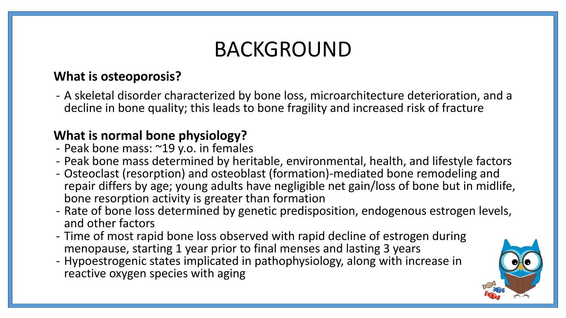### BACKGROUND

#### **What is osteoporosis?**

- A skeletal disorder characterized by bone loss, microarchitecture deterioration, and a decline in bone quality; this leads to bone fragility and increased risk of fracture

#### **What is normal bone physiology?**

- Peak bone mass: ~19 y.o. in females
- Peak bone mass determined by heritable, environmental, health, and lifestyle factors
- Osteoclast (resorption) and osteoblast (formation)-mediated bone remodeling and repair differs by age; young adults have negligible net gain/loss of bone but in midlife, bone resorption activity is greater than formation
- Rate of bone loss determined by genetic predisposition, endogenous estrogen levels, and other factors
- Time of most rapid bone loss observed with rapid decline of estrogen during menopause, starting 1 year prior to final menses and lasting 3 years
- Hypoestrogenic states implicated in pathophysiology, along with increase in reactive oxygen species with aging

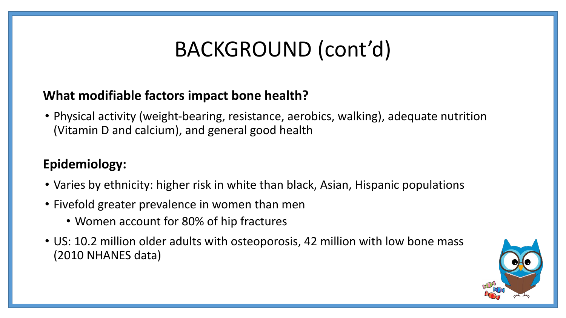### BACKGROUND (cont'd)

#### **What modifiable factors impact bone health?**

• Physical activity (weight-bearing, resistance, aerobics, walking), adequate nutrition (Vitamin D and calcium), and general good health

#### **Epidemiology:**

- Varies by ethnicity: higher risk in white than black, Asian, Hispanic populations
- Fivefold greater prevalence in women than men
	- Women account for 80% of hip fractures
- US: 10.2 million older adults with osteoporosis, 42 million with low bone mass (2010 NHANES data)

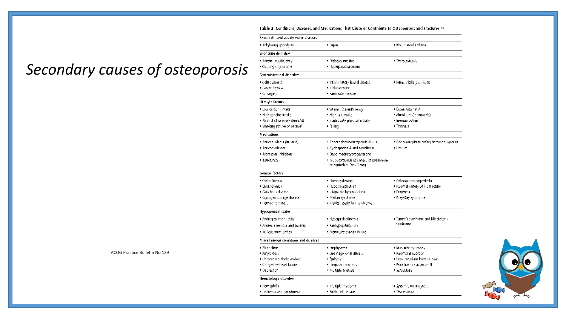Table 2. Conditions, Diseases, and Medications That Cause or Contribute to Osteoporosis and Fractures  $\Leftrightarrow$ 

· Rheumatoid arthritis

· Thyrotoxicosis

• Lupus

· Diabetes mellitus

· Hyperparathyroidism

Rheumatic and autoimmune diseases

. Ankylosing spondylitis

**Endocrine disorders** · Adrenal insufficiency

. Cushing's syndrome

#### *Secondary causes of osteoporosis*

| Gastrointestinal disorders            |                                                                            |                                                   |  |
|---------------------------------------|----------------------------------------------------------------------------|---------------------------------------------------|--|
| · Celiac disease                      | · Inflammatory bowel disease                                               | . Primary biliary cirrhosis                       |  |
| · Gastric bypass                      | · Malabsorption                                                            |                                                   |  |
| · Gl surgery                          | · Pancreatic disease                                                       |                                                   |  |
| Lifestyle factors                     |                                                                            |                                                   |  |
| · Low calcium intake                  | · Vitamin D insufficiency                                                  | · Excess vitamin A                                |  |
| · High caffeine intake                | · High salt intake<br>· Aluminum (in antacids)                             |                                                   |  |
| · Alcohol (3 or more drinks/d)        | · Inadequate physical activity<br>· Immobilization                         |                                                   |  |
| · Smoking (active or passive)         | • Falling                                                                  | · Thinness                                        |  |
| Medications                           |                                                                            |                                                   |  |
| · Anticoaqulants (heparin)            | · Cancer chemotherapeutic drugs                                            | · Conadotropin releasing hormone agonists         |  |
| · Anticonvulsants                     | . Cyclosporine A and tacrolimus                                            | · Lithium                                         |  |
| · Aromatase inhibitors                | · Depo-medroxyprogesterone                                                 |                                                   |  |
| · Barbiturates                        | · Glucocorticoids (≥5 mg/d of prednisone<br>or equivalent for $\geq$ 3 mo) |                                                   |  |
| <b>Genetic factors</b>                |                                                                            |                                                   |  |
| · Cystic fibrosis                     | · Homocystinuria                                                           | · Osteorjenesis imperfecta                        |  |
| · Ehlers-Danlos                       | · Hypophosphatasia                                                         | . Parental history of hip fracture                |  |
| · Gaucher's disease                   | · Idiopathic hypercalciuria                                                | · Porphyria                                       |  |
| · Glycogen storage disease            | · Marfan syndrome                                                          | · Riley-Day syndrome                              |  |
| · Hemochromatosis                     | · Menkes steely hair syndrome                                              |                                                   |  |
| Hypogonadal states                    |                                                                            |                                                   |  |
| · Androgen insensitivity              | · Hyperprolactinemia                                                       | . Turner's syndrome and Klinefelter's<br>syndrome |  |
| · Anorexia nervosa and bulimia        | · Panhypopituitarism                                                       |                                                   |  |
| · Athletic amenorrhea                 | · Premature ovarian failure                                                |                                                   |  |
| Miscellaneous conditions and diseases |                                                                            |                                                   |  |
| · Alcoholism                          | · Emphysema                                                                | . Muscular dystrophy                              |  |
| · Amyloidosis                         | · End stage renal disease                                                  | · Parenteral nutrition                            |  |
| · Chronic metabolic acidosis          | · Epilepsy                                                                 | · Post-transplant bone disease                    |  |
| • Congestive heart failure            | · Idiopathic scoliosis                                                     | . Prior fracture as an adult                      |  |
| · Depression                          | · Multiple sclerosis                                                       | · Sarcoidosis                                     |  |
| Hematologic disorders                 |                                                                            |                                                   |  |
| · Hemophilia                          | · Multiple myeloma                                                         | · Systemic mastocytosis                           |  |
| · Leukemia and lymphomas              | · Sickle cell disease                                                      | · Thalassemia                                     |  |



#### ACOG Practice Bulletin No 129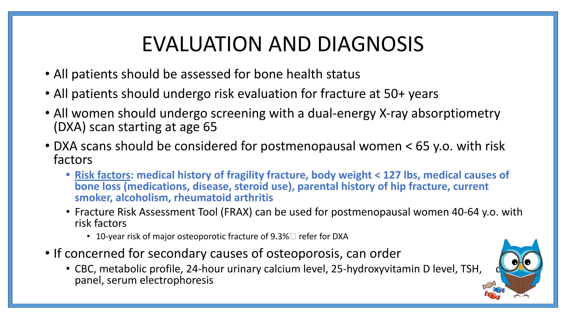## EVALUATION AND DIAGNOSIS

- All patients should be assessed for bone health status
- All patients should undergo risk evaluation for fracture at 50+ years
- All women should undergo screening with a dual-energy X-ray absorptiometry (DXA) scan starting at age 65
- DXA scans should be considered for postmenopausal women < 65 y.o. with risk factors
	- **• Risk factors: medical history of fragility fracture, body weight < 127 lbs, medical causes of bone loss (medications, disease, steroid use), parental history of hip fracture, current smoker, alcoholism, rheumatoid arthritis**
	- Fracture Risk Assessment Tool (FRAX) can be used for postmenopausal women 40-64 y.o. with risk factors
		- 10-year risk of major osteoporotic fracture of  $9.3\%$  refer for DXA
- If concerned for secondary causes of osteoporosis, can order
	- CBC, metabolic profile, 24-hour urinary calcium level, 25-hydroxyvitamin D level, TSH, panel, serum electrophoresis

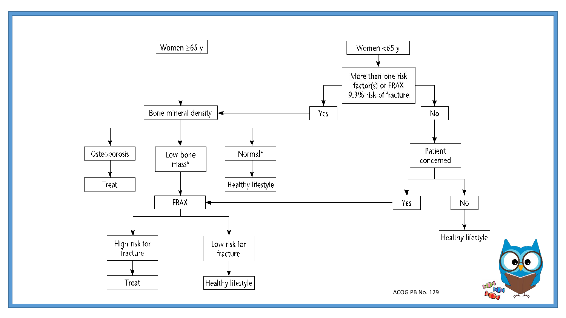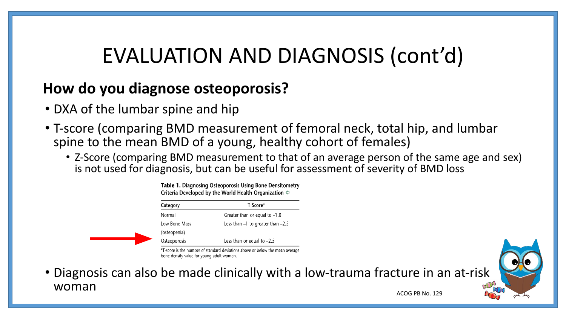### EVALUATION AND DIAGNOSIS (cont'd)

#### **How do you diagnose osteoporosis?**

- DXA of the lumbar spine and hip
- T-score (comparing BMD measurement of femoral neck, total hip, and lumbar spine to the mean BMD of a young, healthy cohort of females)
	- Z-Score (comparing BMD measurement to that of an average person of the same age and sex) is not used for diagnosis, but can be useful for assessment of severity of BMD loss

Table 1. Diagnosing Osteoporosis Using Bone Densitometry Criteria Developed by the World Health Organization  $\Leftrightarrow$ 

| T Score*                              |  |
|---------------------------------------|--|
| Greater than or equal to $-1.0$       |  |
| Less than $-1$ to greater than $-2.5$ |  |
|                                       |  |
| Less than or equal to $-2.5$          |  |
|                                       |  |

\*T-score is the number of standard deviations above or below the mean average bone density value for young adult women

• Diagnosis can also be made clinically with a low-trauma fracture in an at-risk woman

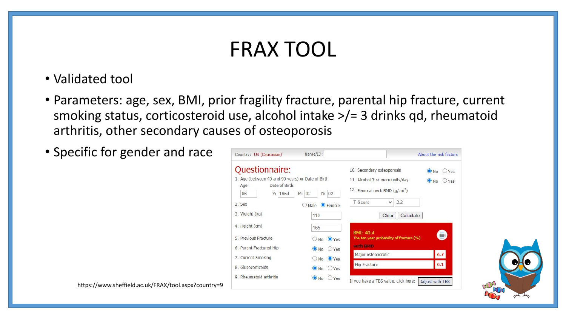### FRAX TOOL

- Validated tool
- Parameters: age, sex, BMI, prior fragility fracture, parental hip fracture, current smoking status, corticosteroid use, alcohol intake >/= 3 drinks qd, rheumatoid arthritis, other secondary causes of osteoporosis
- Specific for gender and race

| Country: US (Caucasian)                                                                                                                             | Name/ID:                                                                          |                                                                                                                                                                    | About the risk factors                          |
|-----------------------------------------------------------------------------------------------------------------------------------------------------|-----------------------------------------------------------------------------------|--------------------------------------------------------------------------------------------------------------------------------------------------------------------|-------------------------------------------------|
| Questionnaire:<br>1. Age (between 40 and 90 years) or Date of Birth<br>Date of Birth:<br>Age:<br>Y: 1954<br>66<br>$M$ :<br>2. Sex<br>3. Weight (kg) | D: 02<br>02<br>$\odot$ Female<br>Male<br>110                                      | 10. Secondary osteoporosis<br>11. Alcohol 3 or more units/day<br>12. Femoral neck BMD (g/cm <sup>2</sup> )<br>2.2<br>$\checkmark$<br>T-Score<br>Calculate<br>Clear | $\bullet$ No<br>$O$ Yes<br>$\bullet$ No<br>OYes |
| 4. Height (cm)<br>5. Previous Fracture                                                                                                              | 165<br>$No$ $QYes$<br>$\left( \begin{array}{c} \end{array} \right)$               | BMI: 40.4<br>The ten year probability of fracture (%)                                                                                                              | 暠                                               |
| 6. Parent Fractured Hip<br>7. Current Smoking                                                                                                       | $\odot$ No<br>Yes<br>$No$ $OYes$<br>$\left( \begin{array}{c} \end{array} \right)$ | with BMD<br>Major osteoporotic<br><b>Hip Fracture</b>                                                                                                              | 6.7<br>0.1                                      |
| 8. Glucocorticoids<br>9. Rheumatoid arthritis                                                                                                       | $\bullet$ No<br>OYes<br>$\bullet$ No $\circ$ Yes                                  | If you have a TBS value, click here:                                                                                                                               | Adjust with TBS                                 |

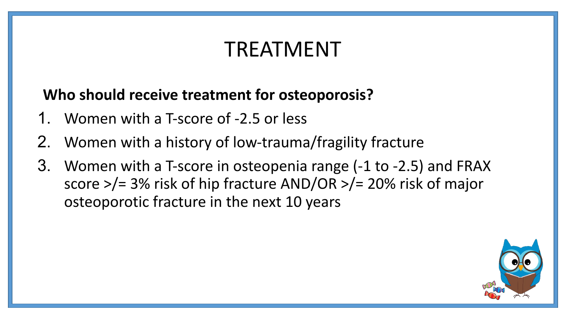### TREATMENT

#### **Who should receive treatment for osteoporosis?**

- 1. Women with a T-score of -2.5 or less
- 2. Women with a history of low-trauma/fragility fracture
- 3. Women with a T-score in osteopenia range (-1 to -2.5) and FRAX score >/= 3% risk of hip fracture AND/OR >/= 20% risk of major osteoporotic fracture in the next 10 years

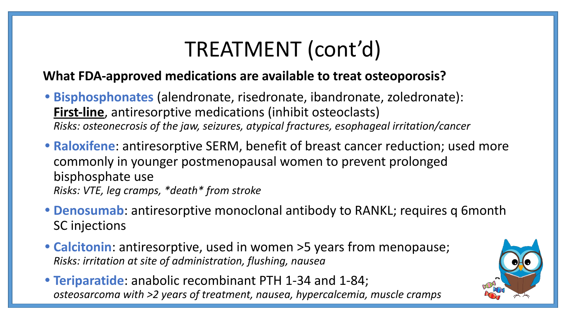### TREATMENT (cont'd)

#### **What FDA-approved medications are available to treat osteoporosis?**

- **• Bisphosphonates** (alendronate, risedronate, ibandronate, zoledronate): **First-line**, antiresorptive medications (inhibit osteoclasts) *Risks: osteonecrosis of the jaw, seizures, atypical fractures, esophageal irritation/cancer*
- **• Raloxifene**: antiresorptive SERM, benefit of breast cancer reduction; used more commonly in younger postmenopausal women to prevent prolonged bisphosphate use *Risks: VTE, leg cramps, \*death\* from stroke*
- **• Denosumab**: antiresorptive monoclonal antibody to RANKL; requires q 6month SC injections
- **• Calcitonin**: antiresorptive, used in women >5 years from menopause; *Risks: irritation at site of administration, flushing, nausea*
- **• Teriparatide**: anabolic recombinant PTH 1-34 and 1-84; *Risks: osteosarcoma with >2 years of treatment, nausea, hypercalcemia, muscle cramps*

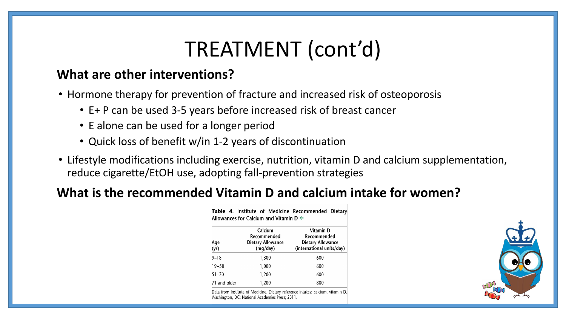### TREATMENT (cont'd)

#### **What are other interventions?**

- Hormone therapy for prevention of fracture and increased risk of osteoporosis
	- E+ P can be used 3-5 years before increased risk of breast cancer
	- E alone can be used for a longer period
	- Quick loss of benefit w/in 1-2 years of discontinuation
- Lifestyle modifications including exercise, nutrition, vitamin D and calcium supplementation, reduce cigarette/EtOH use, adopting fall-prevention strategies

#### **What is the recommended Vitamin D and calcium intake for women?**

| Age<br>(yr)  | Calcium<br>Recommended<br>Dietary Allowance<br>(mq/day) | Vitamin D<br>Recommended<br><b>Dietary Allowance</b><br>(international units/day) |
|--------------|---------------------------------------------------------|-----------------------------------------------------------------------------------|
| $9 - 18$     | 1,300                                                   | 600                                                                               |
| $19 - 50$    | 1,000                                                   | 600                                                                               |
| $51 - 70$    | 1,200                                                   | 600                                                                               |
| 71 and older | 1,200                                                   | 800                                                                               |

Table 4. Institute of Medicine Recommended Dietary Allowances for Calcium and Vitamin D  $\Leftarrow$ 

Data from Institute of Medicine. Dietary reference intakes: calcium, vitamin D. Washington, DC: National Academies Press; 2011

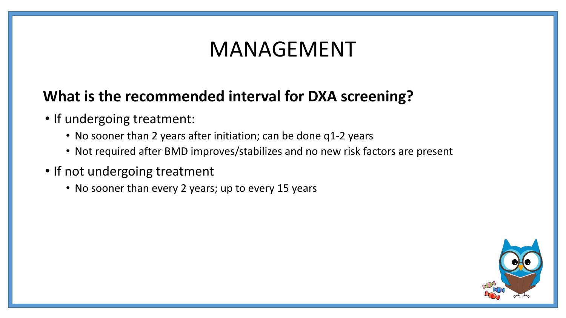### MANAGEMENT

### **What is the recommended interval for DXA screening?**

- If undergoing treatment:
	- No sooner than 2 years after initiation; can be done q1-2 years
	- Not required after BMD improves/stabilizes and no new risk factors are present
- If not undergoing treatment
	- No sooner than every 2 years; up to every 15 years

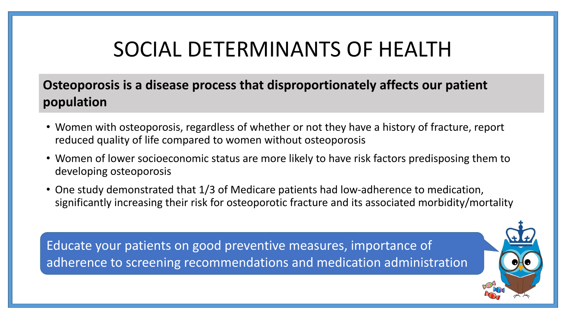### SOCIAL DETERMINANTS OF HEALTH

#### **Osteoporosis is a disease process that disproportionately affects our patient population**

- Women with osteoporosis, regardless of whether or not they have a history of fracture, report reduced quality of life compared to women without osteoporosis
- Women of lower socioeconomic status are more likely to have risk factors predisposing them to developing osteoporosis
- One study demonstrated that 1/3 of Medicare patients had low-adherence to medication, significantly increasing their risk for osteoporotic fracture and its associated morbidity/mortality

Educate your patients on good preventive measures, importance of adherence to screening recommendations and medication administration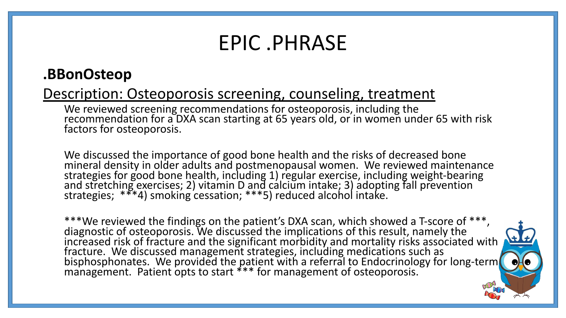### EPIC .PHRASE

#### **.BBonOsteop**

#### Description: Osteoporosis screening, counseling, treatment

We reviewed screening recommendations for osteoporosis, including the recommendation for a DXA scan starting at 65 years old, or in women under 65 with risk factors for osteoporosis.

We discussed the importance of good bone health and the risks of decreased bone mineral density in older adults and postmenopausal women. We reviewed maintenance strategies for good bone health, including 1) regular exercise, including weight-bearing and stretching exercises; 2) vitamin D and calcium intake; 3) adopting fall prevention strategies; \*\*\*4) smoking cessation; \*\*\*5) reduced alcohol intake.

\*\*\*We reviewed the findings on the patient's DXA scan, which showed a T-score of \*\*\*, diagnostic of osteoporosis. We discussed the implications of this result, namely the increased risk of fracture and the significant morbidity and mortality risks associated with fracture. We discussed management strategies, including medications such as bisphosphonates. We provided the patient with a referral to Endocrinology for long-term management. Patient opts to start \*\*\* for management of osteoporosis.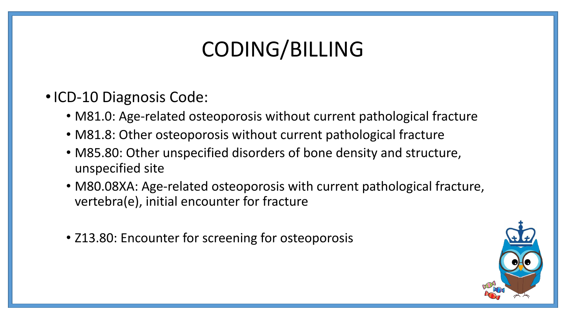## CODING/BILLING

- •ICD-10 Diagnosis Code:
	- M81.0: Age-related osteoporosis without current pathological fracture
	- M81.8: Other osteoporosis without current pathological fracture
	- M85.80: Other unspecified disorders of bone density and structure, unspecified site
	- M80.08XA: Age-related osteoporosis with current pathological fracture, vertebra(e), initial encounter for fracture
	- Z13.80: Encounter for screening for osteoporosis